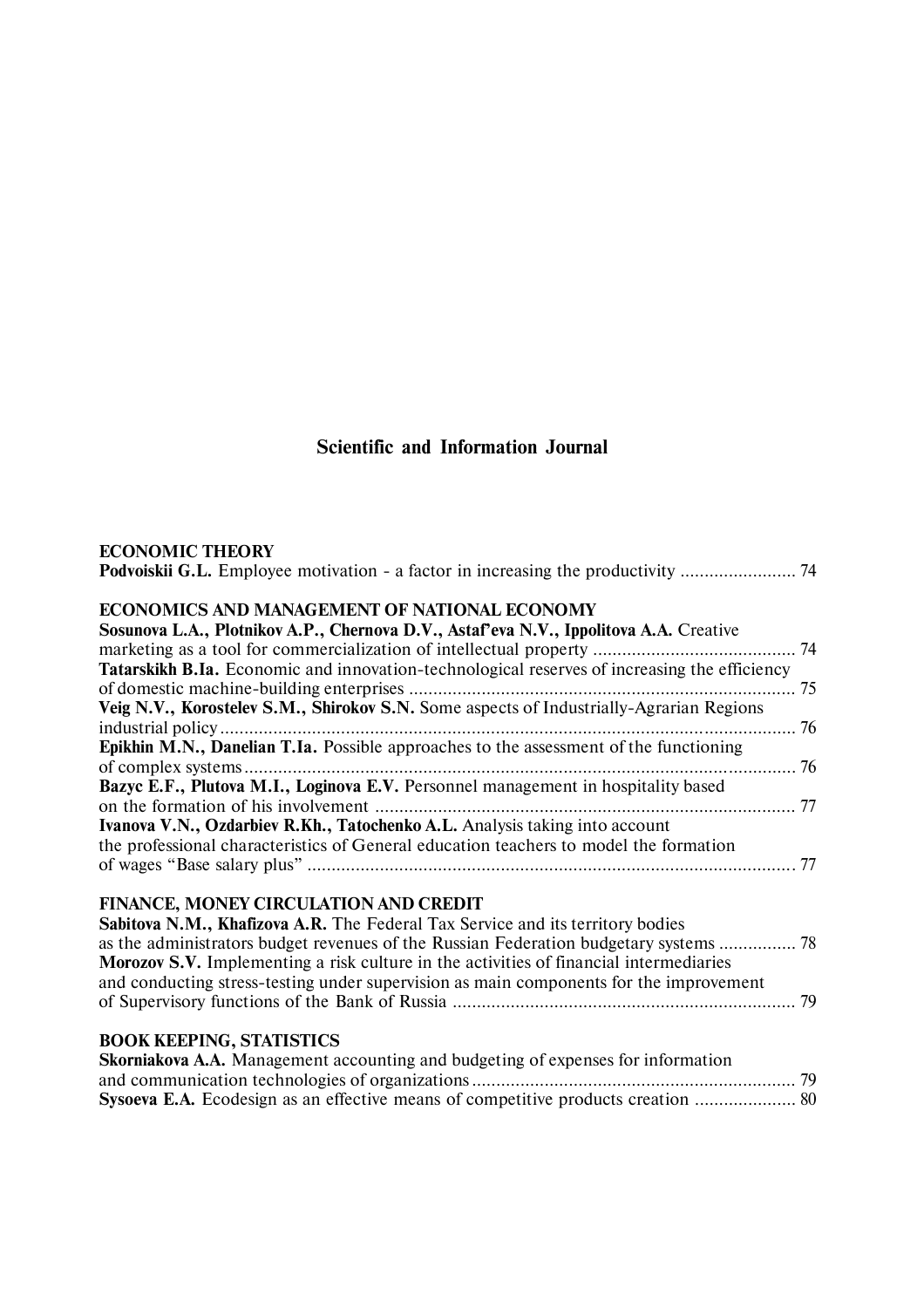# **Scientific and Information Journal**

| <b>ECONOMIC THEORY</b> |  |
|------------------------|--|
|------------------------|--|

| ECONOMICS AND MANAGEMENT OF NATIONAL ECONOMY                                                        |                          |
|-----------------------------------------------------------------------------------------------------|--------------------------|
| Sosunova L.A., Plotnikov A.P., Chernova D.V., Astaf'eva N.V., Ippolitova A.A. Creative              |                          |
|                                                                                                     |                          |
| <b>Tatarskikh B.Ia.</b> Economic and innovation-technological reserves of increasing the efficiency |                          |
|                                                                                                     |                          |
| Veig N.V., Korostelev S.M., Shirokov S.N. Some aspects of Industrially-Agrarian Regions             |                          |
| $\mathbf{r}$ and $\mathbf{r}$ and $\mathbf{r}$ and $\mathbf{r}$                                     | $\overline{\phantom{a}}$ |

| <b>Epikhin M.N., Danelian T.Ia.</b> Possible approaches to the assessment of the functioning |  |
|----------------------------------------------------------------------------------------------|--|
|                                                                                              |  |
| Bazyc E.F., Plutova M.I., Loginova E.V. Personnel management in hospitality based            |  |
|                                                                                              |  |
| Ivanova V.N., Ozdarbiev R.Kh., Tatochenko A.L. Analysis taking into account                  |  |
| the professional characteristics of General education teachers to model the formation        |  |
|                                                                                              |  |
|                                                                                              |  |

## **FINANCE, MONEY CIRCULATION AND CREDIT**

| Sabitova N.M., Khafizova A.R. The Federal Tax Service and its territory bodies                |  |
|-----------------------------------------------------------------------------------------------|--|
| as the administrators budget revenues of the Russian Federation budgetary systems  78         |  |
| <b>Morozov S.V.</b> Implementing a risk culture in the activities of financial intermediaries |  |
| and conducting stress-testing under supervision as main components for the improvement        |  |
|                                                                                               |  |
|                                                                                               |  |

## **BOOK KEEPING, STATISTICS**

| <b>Skorniakova A.A.</b> Management accounting and budgeting of expenses for information |  |
|-----------------------------------------------------------------------------------------|--|
|                                                                                         |  |
|                                                                                         |  |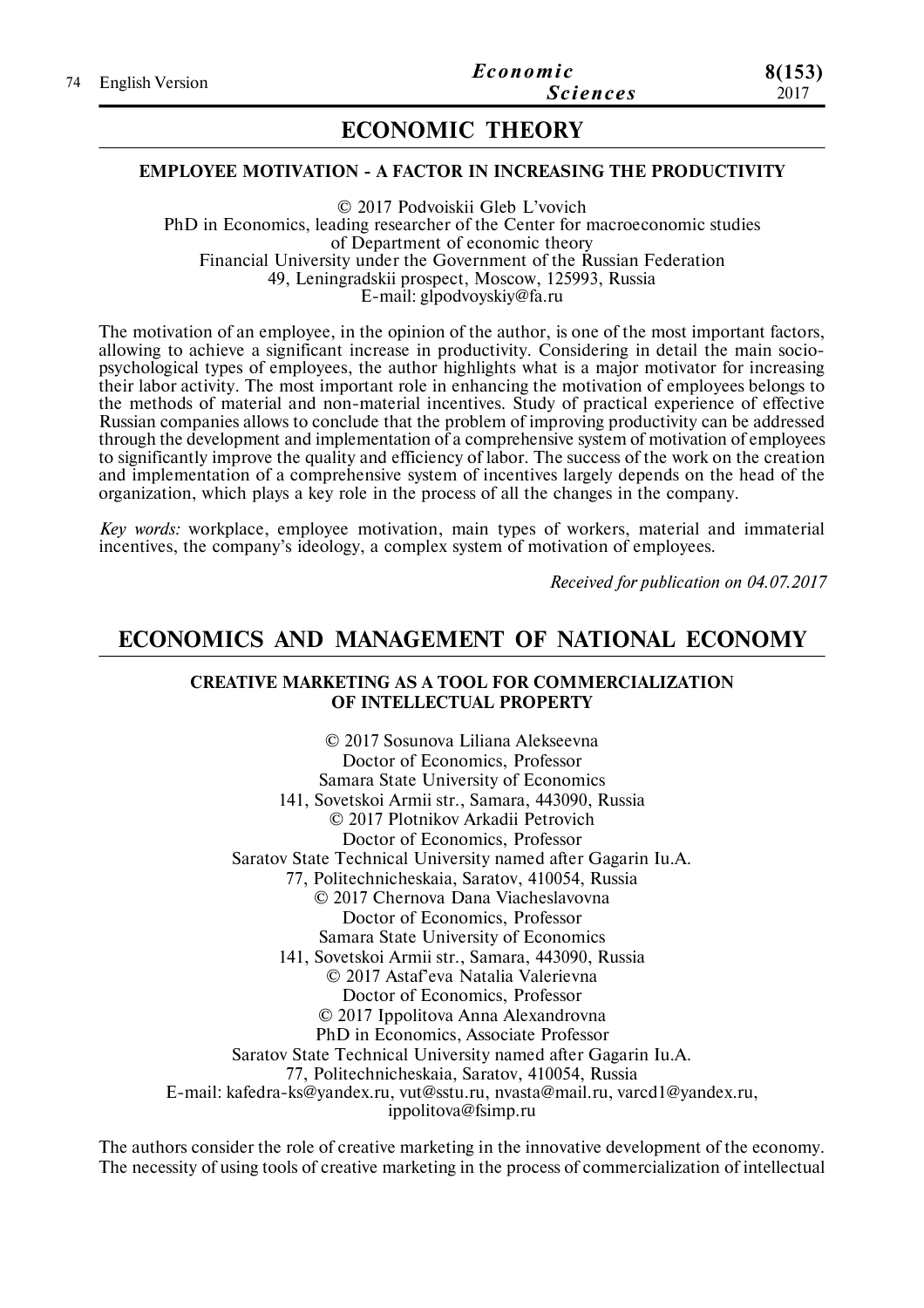## **ECONOMIC THEORY**

#### **EMPLOYEE MOTIVATION - A FACTOR IN INCREASING THE PRODUCTIVITY**

© 2017 Podvoiskii Gleb L'vovich PhD in Economics, leading researcher of the Center for macroeconomic studies of Department of economic theory Financial University under the Government of the Russian Federation 49, Leningradskii prospect, Moscow, 125993, Russia E-mail: glpodvoyskiy@fa.ru

The motivation of an employee, in the opinion of the author, is one of the most important factors, allowing to achieve a significant increase in productivity. Considering in detail the main sociopsychological types of employees, the author highlights what is a major motivator for increasing their labor activity. The most important role in enhancing the motivation of employees belongs to the methods of material and non-material incentives. Study of practical experience of effective Russian companies allows to conclude that the problem of improving productivity can be addressed through the development and implementation of a comprehensive system of motivation of employees to significantly improve the quality and efficiency of labor. The success of the work on the creation and implementation of a comprehensive system of incentives largely depends on the head of the organization, which plays a key role in the process of all the changes in the company.

*Key words:* workplace, employee motivation, main types of workers, material and immaterial incentives, the company's ideology, a complex system of motivation of employees.

*Received for publication on 04.07.2017*

## **ECONOMICS AND MANAGEMENT OF NATIONAL ECONOMY**

### **CREATIVE MARKETING AS A TOOL FOR COMMERCIALIZATION OF INTELLECTUAL PROPERTY**

© 2017 Sosunova Liliana Alekseevna Doctor of Economics, Professor Samara State University of Economics 141, Sovetskoi Armii str., Samara, 443090, Russia © 2017 Plotnikov Arkadii Petrovich Doctor of Economics, Professor Saratov State Technical University named after Gagarin Iu.A. 77, Politechnicheskaia, Saratov, 410054, Russia © 2017 Chernova Dana Viacheslavovna Doctor of Economics, Professor Samara State University of Economics 141, Sovetskoi Armii str., Samara, 443090, Russia © 2017 Astaf'eva Natalia Valerievna Doctor of Economics, Professor © 2017 Ippolitova Anna Alexandrovna PhD in Economics, Associate Professor Saratov State Technical University named after Gagarin Iu.A. 77, Politechnicheskaia, Saratov, 410054, Russia E-mail: kafedra-ks@yandex.ru, vut@sstu.ru, nvasta@mail.ru, varcd1@yandex.ru, ippolitova@fsimp.ru

The authors consider the role of creative marketing in the innovative development of the economy. The necessity of using tools of creative marketing in the process of commercialization of intellectual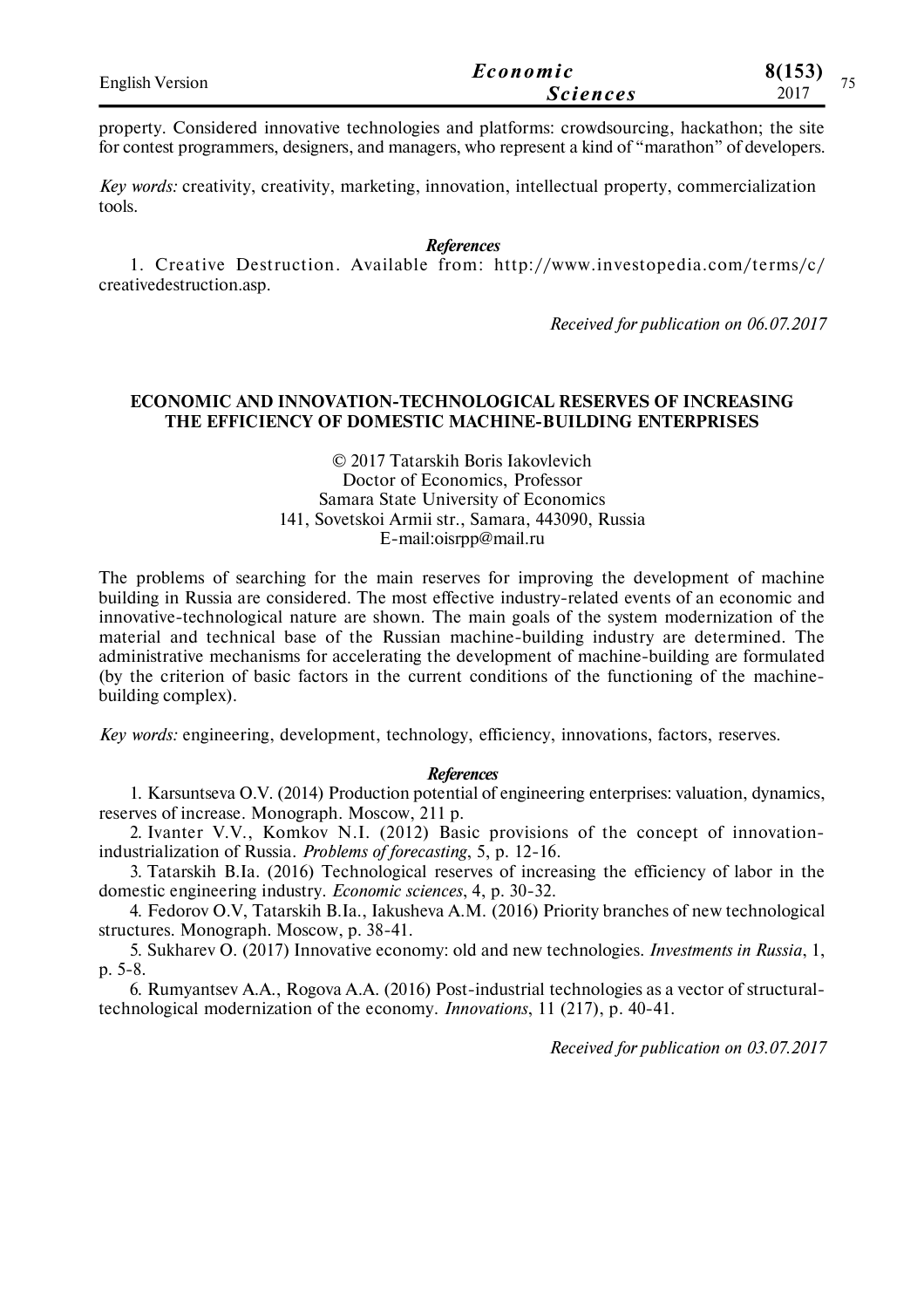| <b>English Version</b> | Economic        | 8(153)<br>$\overline{\phantom{a}}$ |
|------------------------|-----------------|------------------------------------|
|                        | <i>Sciences</i> | 2017                               |

property. Considered innovative technologies and platforms: crowdsourcing, hackathon; the site for contest programmers, designers, and managers, who represent a kind of "marathon" of developers.

*Key words:* creativity, creativity, marketing, innovation, intellectual property, commercialization tools.

*References*

1. Creative Destruction. Available from: http://www.investopedia.com/ terms/c/ creativedestruction.asp.

*Received for publication on 06.07.2017*

#### **ECONOMIC AND INNOVATION-TECHNOLOGICAL RESERVES OF INCREASING THE EFFICIENCY OF DOMESTIC MACHINE-BUILDING ENTERPRISES**

#### © 2017 Tatarskih Boris Iakovlevich Doctor of Economics, Professor Samara State University of Economics 141, Sovetskoi Armii str., Samara, 443090, Russia Е-mail:oisrpp@mail.ru

The problems of searching for the main reserves for improving the development of machine building in Russia are considered. The most effective industry-related events of an economic and innovative-technological nature are shown. The main goals of the system modernization of the material and technical base of the Russian machine-building industry are determined. The administrative mechanisms for accelerating the development of machine-building are formulated (by the criterion of basic factors in the current conditions of the functioning of the machinebuilding complex).

*Key words:* engineering, development, technology, efficiency, innovations, factors, reserves.

### *Referenсes*

1. Karsuntseva O.V. (2014) Production potential of engineering enterprises: valuation, dynamics, reserves of increase. Monograph. Moscow, 211 р.

2. Ivanter V.V., Komkov N.I. (2012) Basic provisions of the concept of innovationindustrialization of Russia. *Problems of forecasting*, 5, p. 12-16.

3. Tatarskih B.Ia. (2016) Technological reserves of increasing the efficiency of labor in the domestic engineering industry. *Economic sciences*, 4, p. 30-32.

4. Fedorov O.V, Tatarskih B.Ia., Iakusheva A.M. (2016) Priority branches of new technological structures. Monograph. Moscow, p. 38-41.

5. Sukharev O. (2017) Innovative economy: old and new technologies. *Investments in Russia*, 1, p. 5-8.

6. Rumyantsev A.A., Rogova A.A. (2016) Post-industrial technologies as a vector of structuraltechnological modernization of the economy. *Innovations*, 11 (217), p. 40-41.

*Received for publication on 03.07.2017*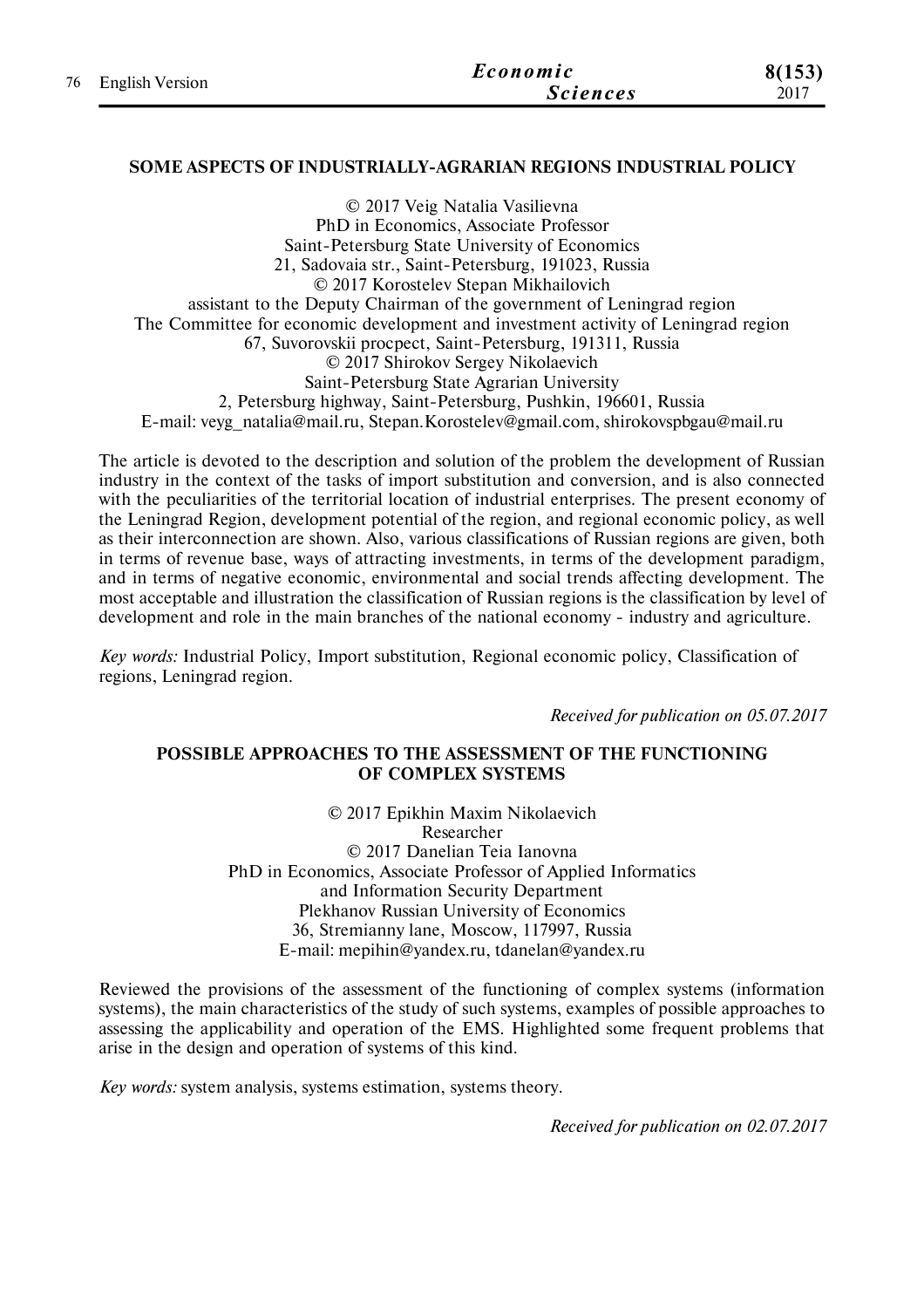| 76 English Version | Economic        | 8(153) |
|--------------------|-----------------|--------|
|                    | <i>Sciences</i> | 2017   |

### **SOME ASPECTS OF INDUSTRIALLY-AGRARIAN REGIONS INDUSTRIAL POLICY**

© 2017 Veig Natalia Vasilievna PhD in Economics, Associate Professor Saint-Petersburg State University of Economics 21, Sadovaia str., Saint-Petersburg, 191023, Russia © 2017 Korostelev Stepan Mikhailovich assistant to the Deputy Chairman of the government of Leningrad region The Committee for economic development and investment activity of Leningrad region 67, Suvorovskii procpect, Saint-Petersburg, 191311, Russia © 2017 Shirokov Sergey Nikolaevich Saint-Petersburg State Agrarian University 2, Petersburg highway, Saint-Petersburg, Pushkin, 196601, Russia E-mail: veyg\_natalia@mail.ru, Stepan.Korostelev@gmail.com, shirokovspbgau@mail.ru

The article is devoted to the description and solution of the problem the development of Russian industry in the context of the tasks of import substitution and conversion, and is also connected with the peculiarities of the territorial location of industrial enterprises. The present economy of the Leningrad Region, development potential of the region, and regional economic policy, as well as their interconnection are shown. Also, various classifications of Russian regions are given, both in terms of revenue base, ways of attracting investments, in terms of the development paradigm, and in terms of negative economic, environmental and social trends affecting development. The most acceptable and illustration the classification of Russian regions is the classification by level of development and role in the main branches of the national economy - industry and agriculture.

*Key words:* Industrial Policy, Import substitution, Regional economic policy, Classification of regions, Leningrad region.

*Received for publication on 05.07.2017*

### **POSSIBLE APPROACHES TO THE ASSESSMENT OF THE FUNCTIONING OF COMPLEX SYSTEMS**

© 2017 Epikhin Maxim Nikolaevich Researcher © 2017 Danelian Teia Ianovna PhD in Economics, Associate Professor of Applied Informatics and Information Security Department Plekhanov Russian University of Economics 36, Stremianny lane, Moscow, 117997, Russia E-mail: mepihin@yandex.ru, tdanelan@yandex.ru

Reviewed the provisions of the assessment of the functioning of complex systems (information systems), the main characteristics of the study of such systems, examples of possible approaches to assessing the applicability and operation of the EMS. Highlighted some frequent problems that arise in the design and operation of systems of this kind.

*Key words:* system analysis, systems estimation, systems theory.

*Received for publication on 02.07.2017*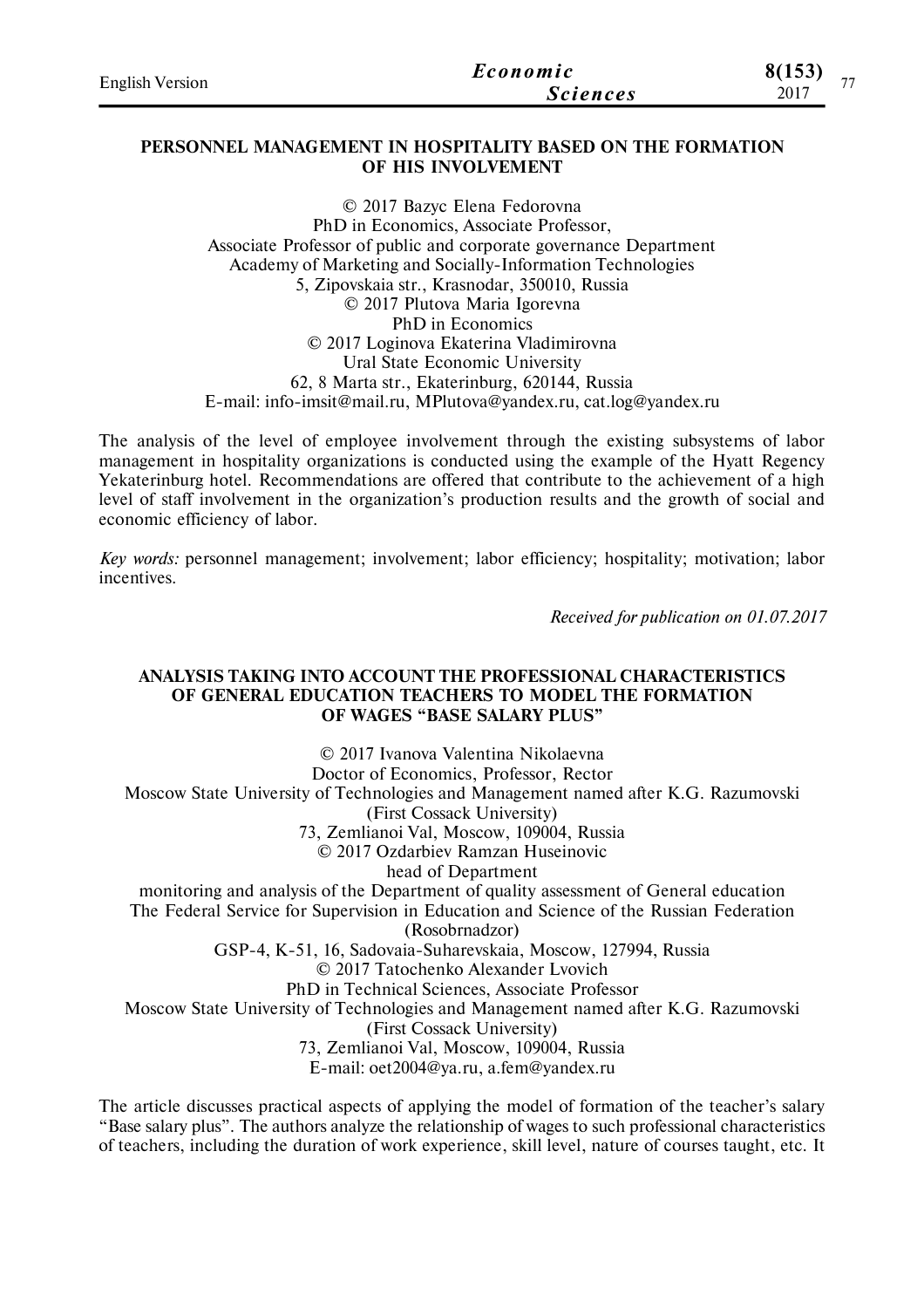| <b>English Version</b> | Economic        | 8(153)<br>$- -$ |
|------------------------|-----------------|-----------------|
|                        | <b>Sciences</b> | 2017            |

### **PERSONNEL MANAGEMENT IN HOSPITALITY BASED ON THE FORMATION OF HIS INVOLVEMENT**

© 2017 Bazyc Elena Fedorovna PhD in Economics, Associate Professor, Associate Professor of public and corporate governance Department Academy of Marketing and Socially-Information Technologies 5, Zipovskaia str., Krasnodar, 350010, Russia © 2017 Plutova Maria Igorevna PhD in Economics © 2017 Loginova Ekaterina Vladimirovna Ural State Economic University 62, 8 Marta str., Ekaterinburg, 620144, Russia E-mail: info-imsit@mail.ru, MPlutova@yandex.ru, cat.log@yandex.ru

The analysis of the level of employee involvement through the existing subsystems of labor management in hospitality organizations is conducted using the example of the Hyatt Regency Yekaterinburg hotel. Recommendations are offered that contribute to the achievement of a high level of staff involvement in the organization's production results and the growth of social and economic efficiency of labor.

*Key words:* personnel management; involvement; labor efficiency; hospitality; motivation; labor incentives.

*Received for publication on 01.07.2017*

#### **ANALYSIS TAKING INTO ACCOUNT THE PROFESSIONAL CHARACTERISTICS OF GENERAL EDUCATION TEACHERS TO MODEL THE FORMATION OF WAGES "BASE SALARY PLUS"**

© 2017 Ivanova Valentina Nikolaevna Doctor of Economics, Professor, Rector Moscow State University of Technologies and Management named after K.G. Razumovski (First Cossack University) 73, Zemlianoi Val, Moscow, 109004, Russia © 2017 Ozdarbiev Ramzan Huseinovic head of Department monitoring and analysis of the Department of quality assessment of General education The Federal Service for Supervision in Education and Science of the Russian Federation (Rosobrnadzor) GSP-4, K-51, 16, Sadovaia-Suharevskaia, Moscow, 127994, Russia © 2017 Tatochenko Alexander Lvovich PhD in Technical Sciences, Associate Professor Moscow State University of Technologies and Management named after K.G. Razumovski (First Cossack University) 73, Zemlianoi Val, Moscow, 109004, Russia E-mail: oet2004@ya.ru, a.fem@yandex.ru

The article discusses practical aspects of applying the model of formation of the teacher's salary "Base salary plus". The authors analyze the relationship of wages to such professional characteristics of teachers, including the duration of work experience, skill level, nature of courses taught, etc. It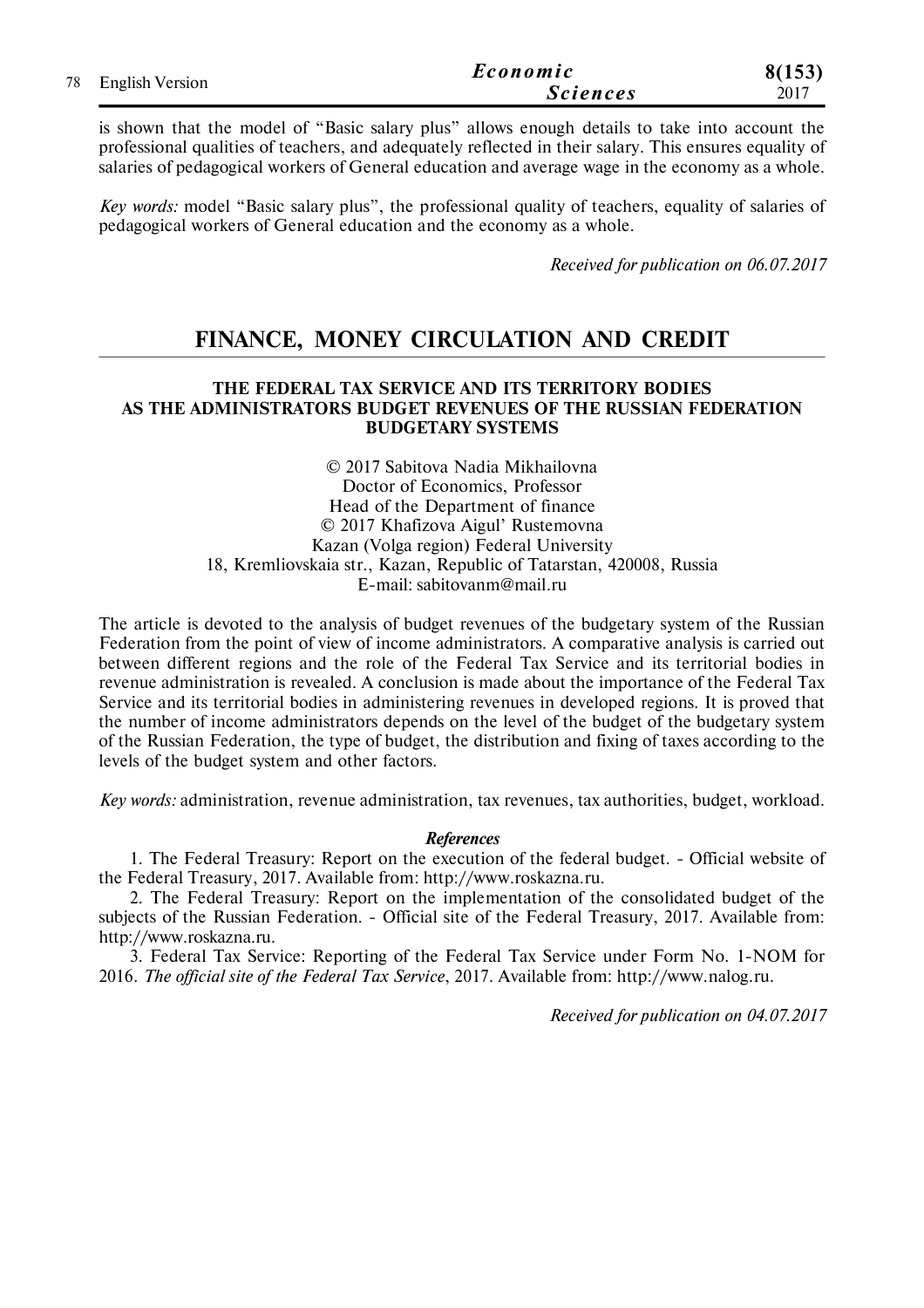|                    | Economic        | 8(153) |
|--------------------|-----------------|--------|
| 78 English Version | <b>Sciences</b> | 2017   |

is shown that the model of "Basic salary plus" allows enough details to take into account the professional qualities of teachers, and adequately reflected in their salary. This ensures equality of salaries of pedagogical workers of General education and average wage in the economy as a whole.

*Key words:* model "Basic salary plus", the professional quality of teachers, equality of salaries of pedagogical workers of General education and the economy as a whole.

*Received for publication on 06.07.2017*

## **FINANCE, MONEY CIRCULATION AND CREDIT**

### **THE FEDERAL TAX SERVICE AND ITS TERRITORY BODIES AS THE ADMINISTRATORS BUDGET REVENUES OF THE RUSSIAN FEDERATION BUDGETARY SYSTEMS**

© 2017 Sabitova Nadia Mikhailovna Doctor of Economics, Professor Head of the Department of finance © 2017 Khafizova Aigul' Rustemovna Kazan (Volga region) Federal University 18, Kremliovskaia str., Kazan, Republic of Tatarstan, 420008, Russia E-mail: sabitovanm@mail.ru

The article is devoted to the analysis of budget revenues of the budgetary system of the Russian Federation from the point of view of income administrators. A comparative analysis is carried out between different regions and the role of the Federal Tax Service and its territorial bodies in revenue administration is revealed. A conclusion is made about the importance of the Federal Tax Service and its territorial bodies in administering revenues in developed regions. It is proved that the number of income administrators depends on the level of the budget of the budgetary system of the Russian Federation, the type of budget, the distribution and fixing of taxes according to the levels of the budget system and other factors.

*Key words:* administration, revenue administration, tax revenues, tax authorities, budget, workload.

#### *References*

1. The Federal Treasury: Report on the execution of the federal budget. - Official website of the Federal Treasury, 2017. Available from: http://www.roskazna.ru.

2. The Federal Treasury: Report on the implementation of the consolidated budget of the subjects of the Russian Federation. - Official site of the Federal Treasury, 2017. Available from: http://www.roskazna.ru.

3. Federal Tax Service: Reporting of the Federal Tax Service under Form No. 1-NOM for 2016. *The official site of the Federal Tax Service*, 2017. Available from: http://www.nalog.ru.

*Received for publication on 04.07.2017*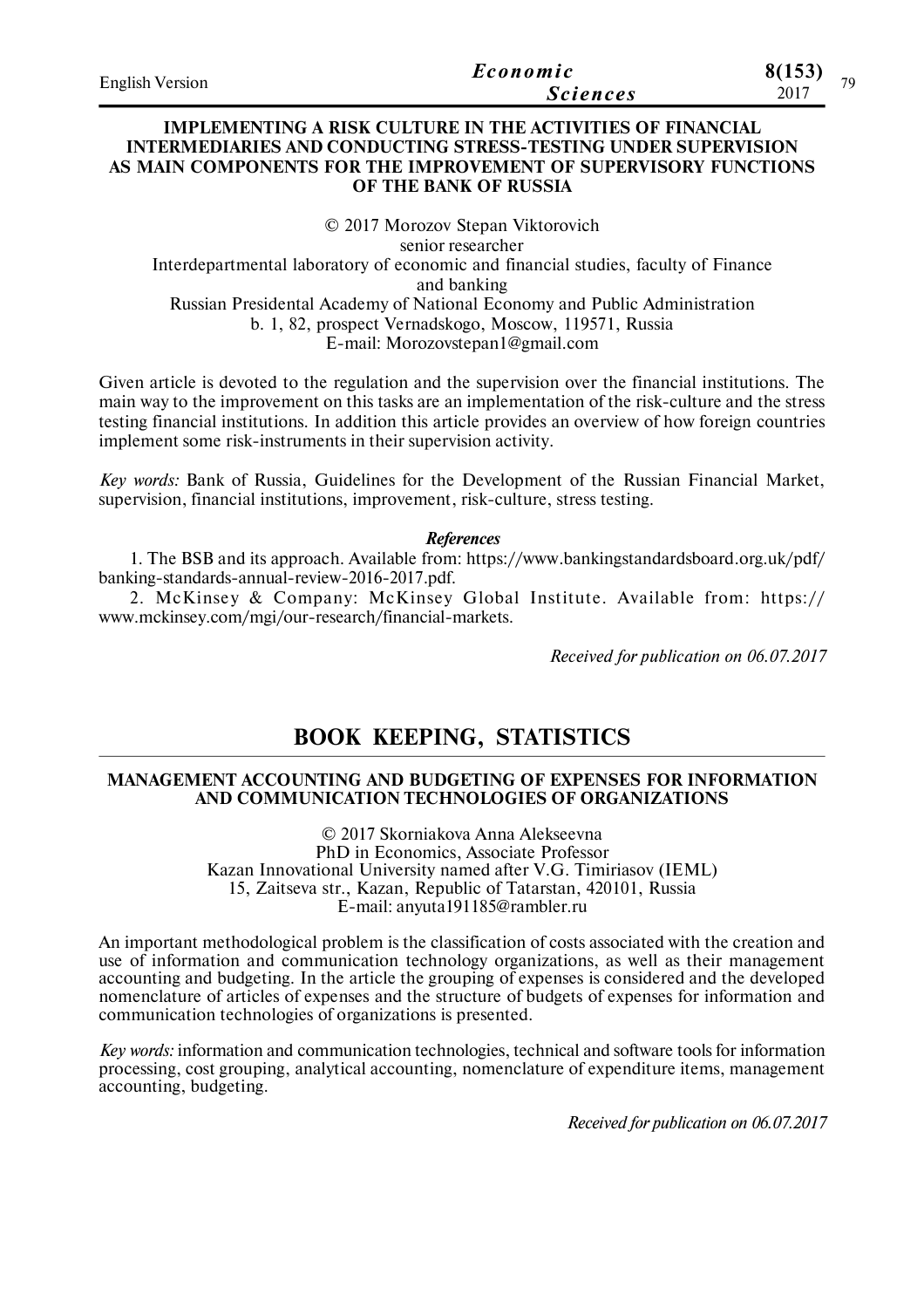| <b>English Version</b> | Economic        | 8(153)<br>70 |
|------------------------|-----------------|--------------|
|                        | <i>Sciences</i> | 2017         |

### **IMPLEMENTING A RISK CULTURE IN THE ACTIVITIES OF FINANCIAL INTERMEDIARIES AND CONDUCTING STRESS-TESTING UNDER SUPERVISION AS MAIN COMPONENTS FOR THE IMPROVEMENT OF SUPERVISORY FUNCTIONS OF THE BANK OF RUSSIA**

© 2017 Morozov Stepan Viktorovich senior researcher Interdepartmental laboratory of economic and financial studies, faculty of Finance and banking Russian Presidental Academy of National Economy and Public Administration b. 1, 82, prospect Vernadskogo, Moscow, 119571, Russia E-mail: Morozovstepan1@gmail.com

Given article is devoted to the regulation and the supervision over the financial institutions. The main way to the improvement on this tasks are an implementation of the risk-culture and the stress testing financial institutions. In addition this article provides an overview of how foreign countries implement some risk-instruments in their supervision activity.

*Key words:* Bank of Russia, Guidelines for the Development of the Russian Financial Market, supervision, financial institutions, improvement, risk-culture, stress testing.

#### *References*

1. The BSB and its approach. Available from: https://www.bankingstandardsboard.org.uk/pdf/ banking-standards-annual-review-2016-2017.pdf.

2. McKinsey & Company: McKinsey Global Institute. Available from: https:// www.mckinsey.com/mgi/our-research/financial-markets.

*Received for publication on 06.07.2017*

## **BOOK KEEPING, STATISTICS**

#### **MANAGEMENT ACCOUNTING AND BUDGETING OF EXPENSES FOR INFORMATION AND COMMUNICATION TECHNOLOGIES OF ORGANIZATIONS**

© 2017 Skorniakova Anna Alekseevna PhD in Economics, Associate Professor Kazan Innovational University named after V.G. Timiriasov (IEML) 15, Zaitseva str., Kazan, Republic of Tatarstan, 420101, Russia E-mail: anyuta191185@rambler.ru

An important methodological problem is the classification of costs associated with the creation and use of information and communication technology organizations, as well as their management accounting and budgeting. In the article the grouping of expenses is considered and the developed nomenclature of articles of expenses and the structure of budgets of expenses for information and communication technologies of organizations is presented.

*Key words:* information and communication technologies, technical and software tools for information processing, cost grouping, analytical accounting, nomenclature of expenditure items, management accounting, budgeting.

*Received for publication on 06.07.2017*